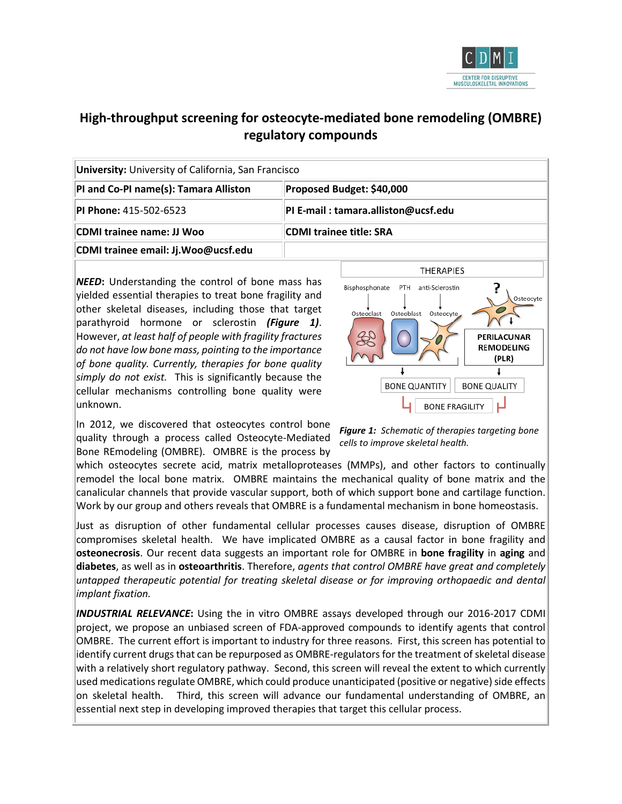

# **High-throughput screening for osteocyte-mediated bone remodeling (OMBRE) regulatory compounds**

| <b>University:</b> University of California, San Francisco |                                                                                                    |  |  |  |  |
|------------------------------------------------------------|----------------------------------------------------------------------------------------------------|--|--|--|--|
| PI and Co-PI name(s): Tamara Alliston                      | Proposed Budget: \$40,000<br>PI E-mail: tamara.alliston@ucsf.edu<br><b>CDMI trainee title: SRA</b> |  |  |  |  |
| <b>PI Phone: 415-502-6523</b>                              |                                                                                                    |  |  |  |  |
| CDMI trainee name: JJ Woo                                  |                                                                                                    |  |  |  |  |
| CDMI trainee email: Jj.Woo@ucsf.edu                        |                                                                                                    |  |  |  |  |

*NEED***:** Understanding the control of bone mass has yielded essential therapies to treat bone fragility and other skeletal diseases, including those that target parathyroid hormone or sclerostin *(Figure 1)*. However, *at least half of people with fragility fractures do not have low bone mass, pointing to the importance of bone quality. Currently, therapies for bone quality simply do not exist.* This is significantly because the cellular mechanisms controlling bone quality were unknown.



In 2012, we discovered that osteocytes control bone quality through a process called Osteocyte-Mediated Bone REmodeling (OMBRE). OMBRE is the process by

*Figure 1: Schematic of therapies targeting bone cells to improve skeletal health.*

which osteocytes secrete acid, matrix metalloproteases (MMPs), and other factors to continually remodel the local bone matrix. OMBRE maintains the mechanical quality of bone matrix and the canalicular channels that provide vascular support, both of which support bone and cartilage function. Work by our group and others reveals that OMBRE is a fundamental mechanism in bone homeostasis.

Just as disruption of other fundamental cellular processes causes disease, disruption of OMBRE compromises skeletal health. We have implicated OMBRE as a causal factor in bone fragility and **osteonecrosis**. Our recent data suggests an important role for OMBRE in **bone fragility** in **aging** and **diabetes**, as well as in **osteoarthritis**. Therefore, *agents that control OMBRE have great and completely untapped therapeutic potential for treating skeletal disease or for improving orthopaedic and dental implant fixation.* 

*INDUSTRIAL RELEVANCE***:** Using the in vitro OMBRE assays developed through our 2016-2017 CDMI project, we propose an unbiased screen of FDA-approved compounds to identify agents that control OMBRE. The current effort is important to industry for three reasons. First, this screen has potential to identify current drugs that can be repurposed as OMBRE-regulators for the treatment of skeletal disease with a relatively short regulatory pathway. Second, this screen will reveal the extent to which currently used medications regulate OMBRE, which could produce unanticipated (positive or negative) side effects on skeletal health. Third, this screen will advance our fundamental understanding of OMBRE, an essential next step in developing improved therapies that target this cellular process.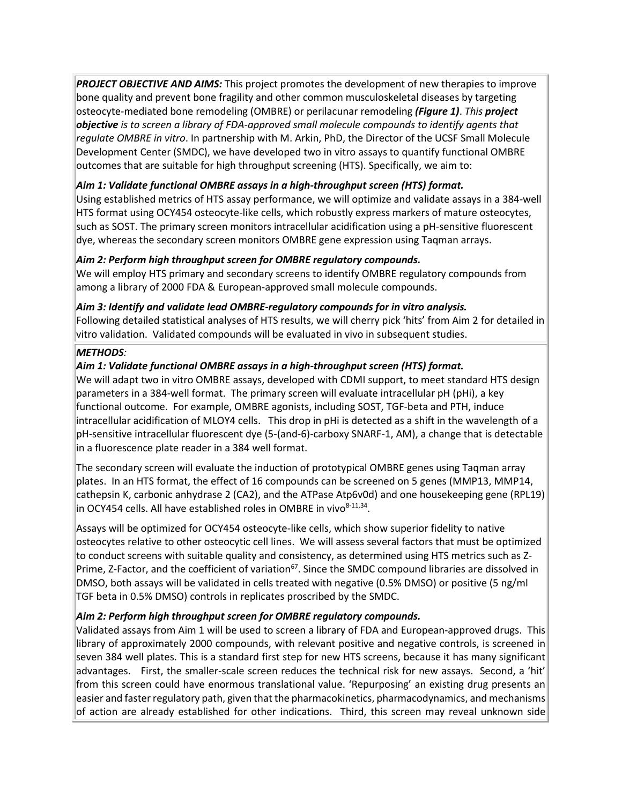*PROJECT OBJECTIVE AND AIMS:* This project promotes the development of new therapies to improve bone quality and prevent bone fragility and other common musculoskeletal diseases by targeting osteocyte-mediated bone remodeling (OMBRE) or perilacunar remodeling *(Figure 1)*. *This project objective is to screen a library of FDA-approved small molecule compounds to identify agents that regulate OMBRE in vitro*. In partnership with M. Arkin, PhD, the Director of the UCSF Small Molecule Development Center (SMDC), we have developed two in vitro assays to quantify functional OMBRE outcomes that are suitable for high throughput screening (HTS). Specifically, we aim to:

## *Aim 1: Validate functional OMBRE assays in a high-throughput screen (HTS) format.*

Using established metrics of HTS assay performance, we will optimize and validate assays in a 384-well HTS format using OCY454 osteocyte-like cells, which robustly express markers of mature osteocytes, such as SOST. The primary screen monitors intracellular acidification using a pH-sensitive fluorescent dye, whereas the secondary screen monitors OMBRE gene expression using Taqman arrays.

## *Aim 2: Perform high throughput screen for OMBRE regulatory compounds.*

We will employ HTS primary and secondary screens to identify OMBRE regulatory compounds from among a library of 2000 FDA & European-approved small molecule compounds.

## *Aim 3: Identify and validate lead OMBRE-regulatory compounds for in vitro analysis.*

Following detailed statistical analyses of HTS results, we will cherry pick 'hits' from Aim 2 for detailed in vitro validation. Validated compounds will be evaluated in vivo in subsequent studies.

## *METHODS:*

## *Aim 1: Validate functional OMBRE assays in a high-throughput screen (HTS) format.*

We will adapt two in vitro OMBRE assays, developed with CDMI support, to meet standard HTS design parameters in a 384-well format. The primary screen will evaluate intracellular pH (pHi), a key functional outcome. For example, OMBRE agonists, including SOST, TGF-beta and PTH, induce intracellular acidification of MLOY4 cells. This drop in pHi is detected as a shift in the wavelength of a pH-sensitive intracellular fluorescent dye (5-(and-6)-carboxy SNARF-1, AM), a change that is detectable in a fluorescence plate reader in a 384 well format.

The secondary screen will evaluate the induction of prototypical OMBRE genes using Taqman array plates. In an HTS format, the effect of 16 compounds can be screened on 5 genes (MMP13, MMP14, cathepsin K, carbonic anhydrase 2 (CA2), and the ATPase Atp6v0d) and one housekeeping gene (RPL19) in OCY454 cells. All have established roles in OMBRE in vivo $8-11,34$ .

Assays will be optimized for OCY454 osteocyte-like cells, which show superior fidelity to native osteocytes relative to other osteocytic cell lines. We will assess several factors that must be optimized to conduct screens with suitable quality and consistency, as determined using HTS metrics such as Z-Prime, Z-Factor, and the coefficient of variation<sup>67</sup>. Since the SMDC compound libraries are dissolved in DMSO, both assays will be validated in cells treated with negative (0.5% DMSO) or positive (5 ng/ml TGF beta in 0.5% DMSO) controls in replicates proscribed by the SMDC.

## *Aim 2: Perform high throughput screen for OMBRE regulatory compounds.*

Validated assays from Aim 1 will be used to screen a library of FDA and European-approved drugs. This library of approximately 2000 compounds, with relevant positive and negative controls, is screened in seven 384 well plates. This is a standard first step for new HTS screens, because it has many significant advantages. First, the smaller-scale screen reduces the technical risk for new assays. Second, a 'hit' from this screen could have enormous translational value. 'Repurposing' an existing drug presents an easier and faster regulatory path, given that the pharmacokinetics, pharmacodynamics, and mechanisms of action are already established for other indications. Third, this screen may reveal unknown side